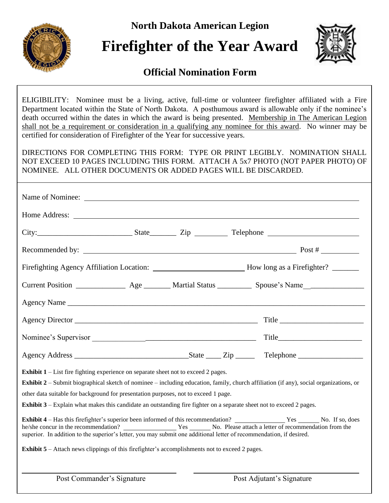**North Dakota American Legion**



# **Firefighter of the Year Award**



### **Official Nomination Form**

ELIGIBILITY: Nominee must be a living, active, full-time or volunteer firefighter affiliated with a Fire Department located within the State of North Dakota. A posthumous award is allowable only if the nominee's death occurred within the dates in which the award is being presented. Membership in The American Legion shall not be a requirement or consideration in a qualifying any nominee for this award. No winner may be certified for consideration of Firefighter of the Year for successive years.

DIRECTIONS FOR COMPLETING THIS FORM: TYPE OR PRINT LEGIBLY. NOMINATION SHALL NOT EXCEED 10 PAGES INCLUDING THIS FORM. ATTACH A 5x7 PHOTO (NOT PAPER PHOTO) OF NOMINEE. ALL OTHER DOCUMENTS OR ADDED PAGES WILL BE DISCARDED.

| Home Address: <u>and a series of the series of the series of the series of the series of the series of the series of the series of the series of the series of the series of the series of the series of the series of the serie</u>                                                                            |                           |  |                                                                                                                                                                                                                                  |
|-----------------------------------------------------------------------------------------------------------------------------------------------------------------------------------------------------------------------------------------------------------------------------------------------------------------|---------------------------|--|----------------------------------------------------------------------------------------------------------------------------------------------------------------------------------------------------------------------------------|
|                                                                                                                                                                                                                                                                                                                 |                           |  | $City:$ Telephone $T$ and $T$ and $T$ are $T$ and $T$ are $T$ are $T$ are $T$ are $T$ are $T$ are $T$ and $T$ are $T$ are $T$ are $T$ are $T$ are $T$ and $T$ are $T$ are $T$ are $T$ are $T$ are $T$ are $T$ are $T$ are $T$ ar |
|                                                                                                                                                                                                                                                                                                                 |                           |  |                                                                                                                                                                                                                                  |
|                                                                                                                                                                                                                                                                                                                 |                           |  | Firefighting Agency Affiliation Location: ____________________________How long as a Firefighter? ________                                                                                                                        |
|                                                                                                                                                                                                                                                                                                                 |                           |  | Current Position _________________ Age _________ Martial Status ___________ Spouse's Name_________________                                                                                                                       |
|                                                                                                                                                                                                                                                                                                                 |                           |  |                                                                                                                                                                                                                                  |
|                                                                                                                                                                                                                                                                                                                 |                           |  | Title                                                                                                                                                                                                                            |
|                                                                                                                                                                                                                                                                                                                 |                           |  |                                                                                                                                                                                                                                  |
|                                                                                                                                                                                                                                                                                                                 |                           |  |                                                                                                                                                                                                                                  |
| <b>Exhibit 1</b> – List fire fighting experience on separate sheet not to exceed 2 pages.<br>other data suitable for background for presentation purposes, not to exceed 1 page.<br><b>Exhibit 3</b> – Explain what makes this candidate an outstanding fire fighter on a separate sheet not to exceed 2 pages. |                           |  | <b>Exhibit 2</b> – Submit biographical sketch of nominee – including education, family, church affiliation (if any), social organizations, or                                                                                    |
| superior. In addition to the superior's letter, you may submit one additional letter of recommendation, if desired.                                                                                                                                                                                             |                           |  |                                                                                                                                                                                                                                  |
| <b>Exhibit 5</b> – Attach news clippings of this firefighter's accomplishments not to exceed 2 pages.                                                                                                                                                                                                           |                           |  |                                                                                                                                                                                                                                  |
| Post Commander's Signature                                                                                                                                                                                                                                                                                      | Post Adjutant's Signature |  |                                                                                                                                                                                                                                  |